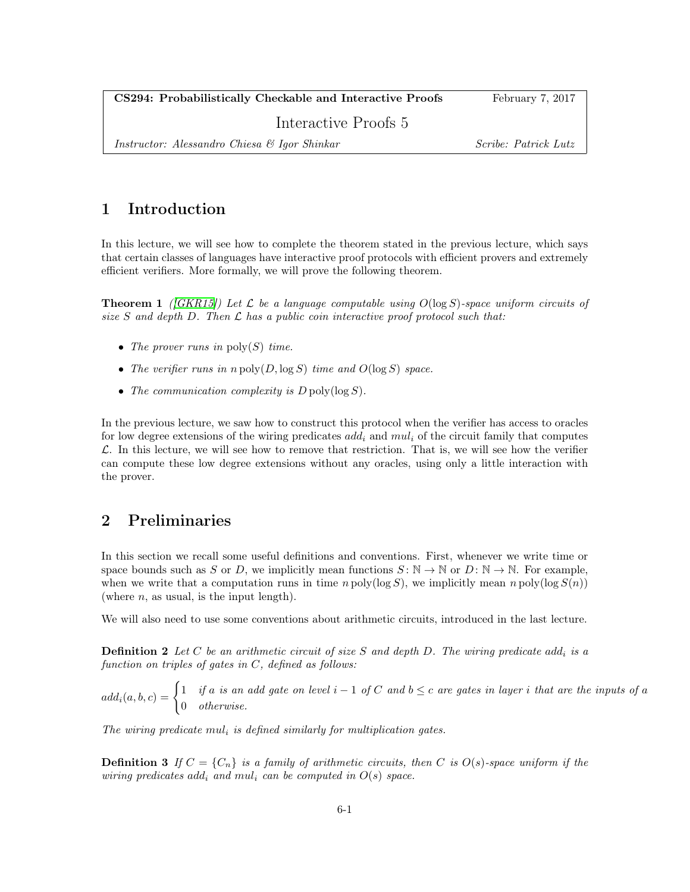CS294: Probabilistically Checkable and Interactive Proofs February 7, 2017

Interactive Proofs 5

Instructor: Alessandro Chiesa & Igor Shinkar Scribe: Patrick Lutz

## 1 Introduction

In this lecture, we will see how to complete the theorem stated in the previous lecture, which says that certain classes of languages have interactive proof protocols with efficient provers and extremely efficient verifiers. More formally, we will prove the following theorem.

<span id="page-0-0"></span>**Theorem 1** ((GKR15)) Let  $\mathcal{L}$  be a language computable using  $O(\log S)$ -space uniform circuits of size S and depth D. Then  $\mathcal L$  has a public coin interactive proof protocol such that:

- The prover runs in  $\text{poly}(S)$  time.
- The verifier runs in  $n \text{ poly}(D, \log S)$  time and  $O(\log S)$  space.
- The communication complexity is  $D \text{ poly}(\log S)$ .

In the previous lecture, we saw how to construct this protocol when the verifier has access to oracles for low degree extensions of the wiring predicates  $add_i$  and  $mul_i$  of the circuit family that computes  $\mathcal{L}$ . In this lecture, we will see how to remove that restriction. That is, we will see how the verifier can compute these low degree extensions without any oracles, using only a little interaction with the prover.

## 2 Preliminaries

In this section we recall some useful definitions and conventions. First, whenever we write time or space bounds such as S or D, we implicitly mean functions  $S: \mathbb{N} \to \mathbb{N}$  or  $D: \mathbb{N} \to \mathbb{N}$ . For example, when we write that a computation runs in time  $n \text{ poly}(\log S)$ , we implicitly mean  $n \text{ poly}(\log S(n))$ (where  $n$ , as usual, is the input length).

We will also need to use some conventions about arithmetic circuits, introduced in the last lecture.

**Definition 2** Let C be an arithmetic circuit of size S and depth D. The wiring predicate add<sub>i</sub> is a function on triples of gates in C, defined as follows:

 $add_i(a, b, c) = \begin{cases} 1 & \text{if } a \text{ is an add gate on level } i - 1 \text{ of } C \text{ and } b \leq c \text{ are gates in layer } i \text{ that are the inputs of } a \end{cases}$ 0 otherwise.

The wiring predicate  $mul_i$  is defined similarly for multiplication gates.

**Definition 3** If  $C = \{C_n\}$  is a family of arithmetic circuits, then C is  $O(s)$ -space uniform if the wiring predicates add<sub>i</sub> and mul<sub>i</sub> can be computed in  $O(s)$  space.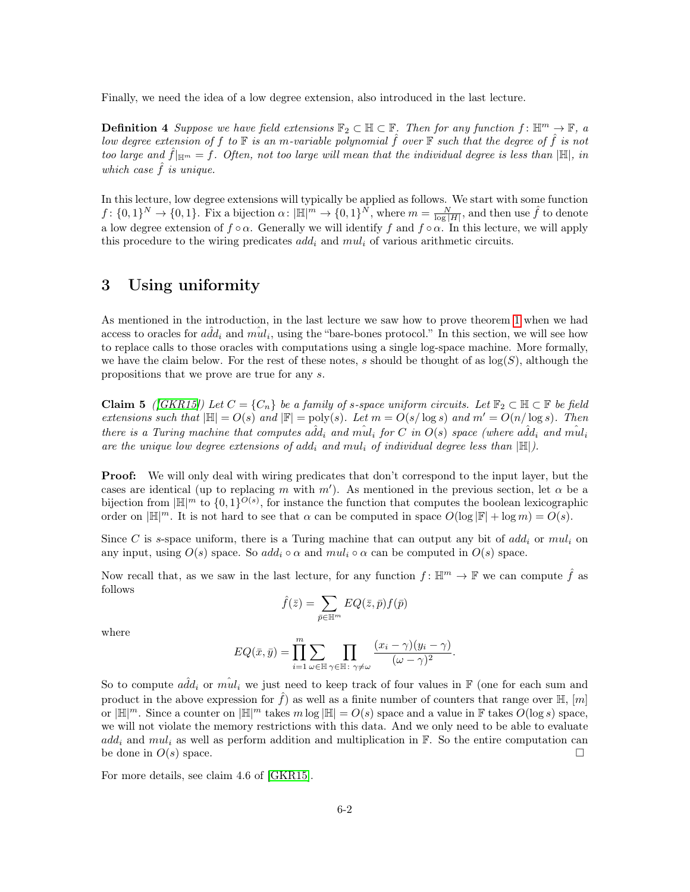Finally, we need the idea of a low degree extension, also introduced in the last lecture.

**Definition 4** Suppose we have field extensions  $\mathbb{F}_2 \subset \mathbb{H} \subset \mathbb{F}$ . Then for any function  $f: \mathbb{H}^m \to \mathbb{F}$ , a low degree extension of f to  $\mathbb F$  is an m-variable polynomial f over  $\mathbb F$  such that the degree of f is not too large and  $\tilde{f}|_{\mathbb{H}^m} = f$ . Often, not too large will mean that the individual degree is less than  $|\mathbb{H}|$ , in which case  $\hat{f}$  is unique.

In this lecture, low degree extensions will typically be applied as follows. We start with some function  $f: \{0,1\}^N \to \{0,1\}.$  Fix a bijection  $\alpha: |\mathbb{H}|^m \to \{0,1\}^N$ , where  $m = \frac{N}{\log |H|}$ , and then use  $\hat{f}$  to denote a low degree extension of  $f \circ \alpha$ . Generally we will identify f and  $f \circ \alpha$ . In this lecture, we will apply this procedure to the wiring predicates  $add_i$  and  $mul_i$  of various arithmetic circuits.

#### 3 Using uniformity

As mentioned in the introduction, in the last lecture we saw how to prove theorem [1](#page-0-0) when we had access to oracles for  $a\hat{d}d_i$  and  $m\hat{u}l_i$ , using the "bare-bones protocol." In this section, we will see how to replace calls to those oracles with computations using a single log-space machine. More formally, we have the claim below. For the rest of these notes, s should be thought of as  $log(S)$ , although the propositions that we prove are true for any s.

**Claim 5** ([\[GKR15\]](#page-4-0)) Let  $C = \{C_n\}$  be a family of s-space uniform circuits. Let  $\mathbb{F}_2 \subset \mathbb{H} \subset \mathbb{F}$  be field extensions such that  $|\mathbb{H}| = O(s)$  and  $|\mathbb{F}| = \text{poly}(s)$ . Let  $m = O(s/\log s)$  and  $m' = O(n/\log s)$ . Then there is a Turing machine that computes  $a\hat{d}d_i$  and  $\hat{mul}_i$  for C in  $O(s)$  space (where  $a\hat{d}d_i$  and  $\hat{mul}_i$ are the unique low degree extensions of add<sub>i</sub> and mul<sub>i</sub> of individual degree less than  $|\mathbb{H}|$ ).

**Proof:** We will only deal with wiring predicates that don't correspond to the input layer, but the cases are identical (up to replacing m with m'). As mentioned in the previous section, let  $\alpha$  be a bijection from  $\mathbb{H}^n$  to  $\{0,1\}^{O(s)}$ , for instance the function that computes the boolean lexicographic order on  $\mathbb{H}^m$ . It is not hard to see that  $\alpha$  can be computed in space  $O(\log |\mathbb{F}| + \log m) = O(s)$ .

Since C is s-space uniform, there is a Turing machine that can output any bit of  $add_i$  or  $mul_i$  on any input, using  $O(s)$  space. So add<sub>i</sub>  $\circ \alpha$  and  $mul_i \circ \alpha$  can be computed in  $O(s)$  space.

Now recall that, as we saw in the last lecture, for any function  $f: \mathbb{H}^m \to \mathbb{F}$  we can compute  $\hat{f}$  as follows

$$
\hat{f}(\bar{z})=\sum_{\bar{p}\in\mathbb{H}^m}EQ(\bar{z},\bar{p})f(\bar{p})
$$

where

$$
EQ(\bar{x}, \bar{y}) = \prod_{i=1}^{m} \sum_{\omega \in \mathbb{H}} \prod_{\gamma \in \mathbb{H} \colon \gamma \neq \omega} \frac{(x_i - \gamma)(y_i - \gamma)}{(\omega - \gamma)^2}.
$$

So to compute  $a\hat{d}d_i$  or  $\hat{mul}_i$  we just need to keep track of four values in F (one for each sum and product in the above expression for  $\hat{f}$ ) as well as a finite number of counters that range over  $\mathbb{H}$ ,  $[m]$ or  $\mathbb{H}^m$ . Since a counter on  $\mathbb{H}^m$  takes m log  $\mathbb{H} = O(s)$  space and a value in F takes  $O(\log s)$  space, we will not violate the memory restrictions with this data. And we only need to be able to evaluate  $add_i$  and  $mul_i$  as well as perform addition and multiplication in  $\mathbb{F}$ . So the entire computation can be done in  $O(s)$  space.

For more details, see claim 4.6 of [\[GKR15\]](#page-4-0).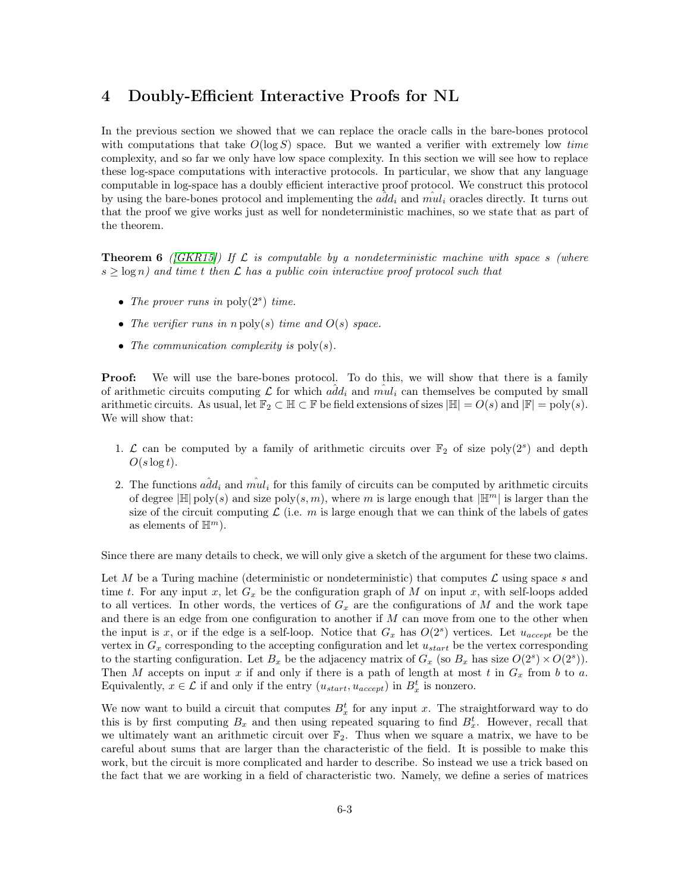#### 4 Doubly-Efficient Interactive Proofs for NL

In the previous section we showed that we can replace the oracle calls in the bare-bones protocol with computations that take  $O(\log S)$  space. But we wanted a verifier with extremely low time complexity, and so far we only have low space complexity. In this section we will see how to replace these log-space computations with interactive protocols. In particular, we show that any language computable in log-space has a doubly efficient interactive proof protocol. We construct this protocol by using the bare-bones protocol and implementing the  $\tilde{add}_i$  and  $\hat{mul}_i$  oracles directly. It turns out that the proof we give works just as well for nondeterministic machines, so we state that as part of the theorem.

<span id="page-2-0"></span>**Theorem 6** ([\[GKR15\]](#page-4-0)) If  $\mathcal{L}$  is computable by a nondeterministic machine with space s (where  $s \geq \log n$ ) and time t then  $\mathcal L$  has a public coin interactive proof protocol such that

- The prover runs in  $\text{poly}(2^s)$  time.
- The verifier runs in  $n \text{ poly}(s)$  time and  $O(s)$  space.
- The communication complexity is  $\text{poly}(s)$ .

**Proof:** We will use the bare-bones protocol. To do this, we will show that there is a family of arithmetic circuits computing  $\mathcal L$  for which  $a\hat d d_i$  and  $\hat{m} u_i$  can themselves be computed by small arithmetic circuits. As usual, let  $\mathbb{F}_2 \subset \mathbb{H} \subset \mathbb{F}$  be field extensions of sizes  $|\mathbb{H}| = O(s)$  and  $|\mathbb{F}| = \text{poly}(s)$ . We will show that:

- 1.  $\mathcal L$  can be computed by a family of arithmetic circuits over  $\mathbb F_2$  of size poly $(2^s)$  and depth  $O(s \log t)$ .
- 2. The functions  $a\hat{d}d_i$  and  $\hat{m}u_i$  for this family of circuits can be computed by arithmetic circuits of degree  $\mathbb{H}$  poly(s) and size poly(s, m), where m is large enough that  $\mathbb{H}^m$  is larger than the size of the circuit computing  $\mathcal L$  (i.e. m is large enough that we can think of the labels of gates as elements of  $\mathbb{H}^m$ ).

Since there are many details to check, we will only give a sketch of the argument for these two claims.

Let M be a Turing machine (deterministic or nondeterministic) that computes  $\mathcal L$  using space s and time t. For any input x, let  $G_x$  be the configuration graph of M on input x, with self-loops added to all vertices. In other words, the vertices of  $G_x$  are the configurations of M and the work tape and there is an edge from one configuration to another if  $M$  can move from one to the other when the input is x, or if the edge is a self-loop. Notice that  $G_x$  has  $O(2^s)$  vertices. Let  $u_{accept}$  be the vertex in  $G_x$  corresponding to the accepting configuration and let  $u_{start}$  be the vertex corresponding to the starting configuration. Let  $B_x$  be the adjacency matrix of  $G_x$  (so  $B_x$  has size  $O(2^s) \times O(2^s)$ ). Then M accepts on input x if and only if there is a path of length at most t in  $G_x$  from b to a. Equivalently,  $x \in \mathcal{L}$  if and only if the entry  $(u_{start}, u_{accept})$  in  $B_x^t$  is nonzero.

We now want to build a circuit that computes  $B_x^t$  for any input x. The straightforward way to do this is by first computing  $B_x$  and then using repeated squaring to find  $B_x^t$ . However, recall that we ultimately want an arithmetic circuit over  $\mathbb{F}_2$ . Thus when we square a matrix, we have to be careful about sums that are larger than the characteristic of the field. It is possible to make this work, but the circuit is more complicated and harder to describe. So instead we use a trick based on the fact that we are working in a field of characteristic two. Namely, we define a series of matrices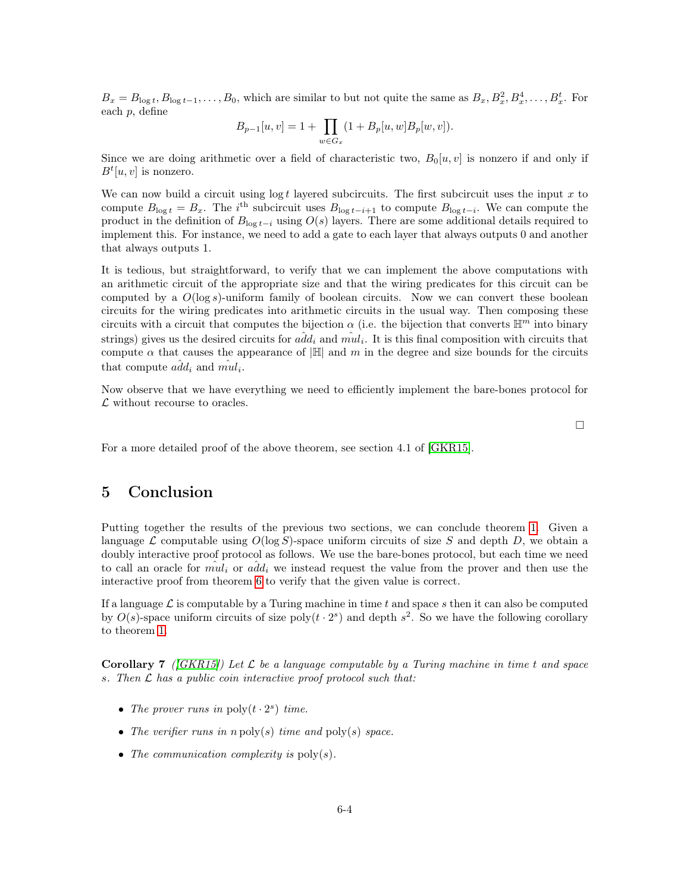$B_x = B_{\log t}, B_{\log t-1}, \ldots, B_0$ , which are similar to but not quite the same as  $B_x, B_x^2, B_x^4, \ldots, B_x^t$ . For each p, define

$$
B_{p-1}[u,v]=1+\prod_{w\in G_x}(1+B_p[u,w]B_p[w,v]).
$$

Since we are doing arithmetic over a field of characteristic two,  $B_0[u, v]$  is nonzero if and only if  $B<sup>t</sup>[u, v]$  is nonzero.

We can now build a circuit using  $\log t$  layered subcircuits. The first subcircuit uses the input x to compute  $B_{\log t} = B_x$ . The i<sup>th</sup> subcircuit uses  $B_{\log t-i+1}$  to compute  $B_{\log t-i}$ . We can compute the product in the definition of  $B_{\log t-i}$  using  $O(s)$  layers. There are some additional details required to implement this. For instance, we need to add a gate to each layer that always outputs 0 and another that always outputs 1.

It is tedious, but straightforward, to verify that we can implement the above computations with an arithmetic circuit of the appropriate size and that the wiring predicates for this circuit can be computed by a  $O(\log s)$ -uniform family of boolean circuits. Now we can convert these boolean circuits for the wiring predicates into arithmetic circuits in the usual way. Then composing these circuits with a circuit that computes the bijection  $\alpha$  (i.e. the bijection that converts  $\mathbb{H}^m$  into binary strings) gives us the desired circuits for  $\hat{add}_i$  and  $\hat{mul}_i$ . It is this final composition with circuits that compute  $\alpha$  that causes the appearance of  $|\mathbb{H}|$  and m in the degree and size bounds for the circuits that compute  $\hat{add}_i$  and  $\hat{mul}_i$ .

Now observe that we have everything we need to efficiently implement the bare-bones protocol for  $\mathcal L$  without recourse to oracles.

 $\Box$ 

For a more detailed proof of the above theorem, see section 4.1 of [\[GKR15\]](#page-4-0).

### 5 Conclusion

Putting together the results of the previous two sections, we can conclude theorem [1.](#page-0-0) Given a language  $\mathcal L$  computable using  $O(\log S)$ -space uniform circuits of size S and depth D, we obtain a doubly interactive proof protocol as follows. We use the bare-bones protocol, but each time we need to call an oracle for  $m\hat{i}u_i$  or  $a\hat{d}d_i$  we instead request the value from the prover and then use the interactive proof from theorem [6](#page-2-0) to verify that the given value is correct.

If a language  $\mathcal L$  is computable by a Turing machine in time t and space s then it can also be computed by  $O(s)$ -space uniform circuits of size poly $(t \cdot 2^s)$  and depth  $s^2$ . So we have the following corollary to theorem [1.](#page-0-0)

**Corollary 7** ((GKR15)) Let  $\mathcal{L}$  be a language computable by a Turing machine in time t and space s. Then  $\mathcal L$  has a public coin interactive proof protocol such that:

- The prover runs in  $\text{poly}(t \cdot 2^s)$  time.
- The verifier runs in  $n \text{ poly}(s)$  time and  $\text{poly}(s)$  space.
- The communication complexity is  $\text{poly}(s)$ .